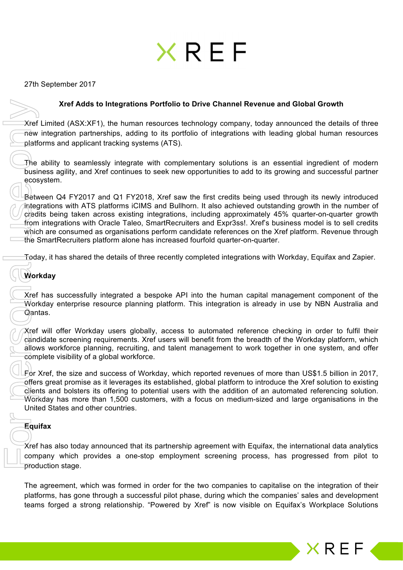# XRFF

27th September 2017

#### **Xref Adds to Integrations Portfolio to Drive Channel Revenue and Global Growth**

Xref Limited (ASX:XF1), the human resources technology company, today announced the details of three new integration partnerships, adding to its portfolio of integrations with leading global human resources platforms and applicant tracking systems (ATS).

The ability to seamlessly integrate with complementary solutions is an essential ingredient of modern business agility, and Xref continues to seek new opportunities to add to its growing and successful partner ecosystem.

Between Q4 FY2017 and Q1 FY2018, Xref saw the first credits being used through its newly introduced integrations with ATS platforms iCIMS and Bullhorn. It also achieved outstanding growth in the number of credits being taken across existing integrations, including approximately 45% quarter-on-quarter growth from integrations with Oracle Taleo, SmartRecruiters and Expr3ss!. Xref's business model is to sell credits which are consumed as organisations perform candidate references on the Xref platform. Revenue through the SmartRecruiters platform alone has increased fourfold quarter-on-quarter. Xref Adds to Integrations Portfolio to Drive Channel Revenue and Global Growth<br>
Xref United (ASXXF), the human resources technology company, lotay amounced the details of three<br>interesting and applicant mechanic resources

Today, it has shared the details of three recently completed integrations with Workday, Equifax and Zapier.

# **Workday**

Xref has successfully integrated a bespoke API into the human capital management component of the Workday enterprise resource planning platform. This integration is already in use by NBN Australia and Qantas.

Xref will offer Workday users globally, access to automated reference checking in order to fulfil their candidate screening requirements. Xref users will benefit from the breadth of the Workday platform, which allows workforce planning, recruiting, and talent management to work together in one system, and offer complete visibility of a global workforce.

For Xref, the size and success of Workday, which reported revenues of more than US\$1.5 billion in 2017, offers great promise as it leverages its established, global platform to introduce the Xref solution to existing clients and bolsters its offering to potential users with the addition of an automated referencing solution. Workday has more than 1,500 customers, with a focus on medium-sized and large organisations in the United States and other countries.

### **Equifax**

Xref has also today announced that its partnership agreement with Equifax, the international data analytics company which provides a one-stop employment screening process, has progressed from pilot to production stage.

The agreement, which was formed in order for the two companies to capitalise on the integration of their platforms, has gone through a successful pilot phase, during which the companies' sales and development